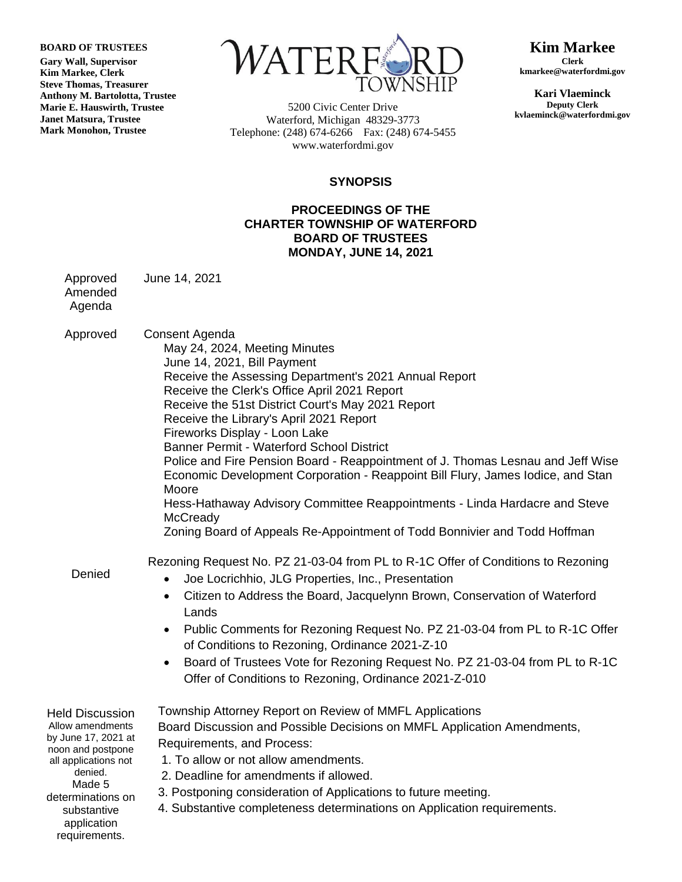**BOARD OF TRUSTEES**

**Gary Wall, Supervisor Kim Markee, Clerk Steve Thomas, Treasurer Anthony M. Bartolotta, Trustee Marie E. Hauswirth, Trustee Janet Matsura, Trustee Mark Monohon, Trustee**

**ATE** 

5200 Civic Center Drive Waterford, Michigan 48329-3773 Telephone: (248) 674-6266 Fax: (248) 674-5455 www.waterfordmi.gov

**Kim Markee Clerk kmarkee@waterfordmi.gov**

**Kari Vlaeminck Deputy Clerk kvlaeminck@waterfordmi.gov**

## **SYNOPSIS**

## **PROCEEDINGS OF THE CHARTER TOWNSHIP OF WATERFORD BOARD OF TRUSTEES MONDAY, JUNE 14, 2021**

Approved Amended June 14, 2021

Agenda

Approved Denied Held Discussion Allow amendments by June 17, 2021 at noon and postpone all applications not denied. Made 5 determinations on substantive application requirements. Consent Agenda May 24, 2024, Meeting Minutes June 14, 2021, Bill Payment Receive the Assessing Department's 2021 Annual Report Receive the Clerk's Office April 2021 Report Receive the 51st District Court's May 2021 Report Receive the Library's April 2021 Report Fireworks Display - Loon Lake Banner Permit - Waterford School District Police and Fire Pension Board - Reappointment of J. Thomas Lesnau and Jeff Wise Economic Development Corporation - Reappoint Bill Flury, James Iodice, and Stan Moore Hess-Hathaway Advisory Committee Reappointments - Linda Hardacre and Steve **McCready** Zoning Board of Appeals Re-Appointment of Todd Bonnivier and Todd Hoffman Rezoning Request No. PZ 21-03-04 from PL to R-1C Offer of Conditions to Rezoning Joe Locrichhio, JLG Properties, Inc., Presentation Citizen to Address the Board, Jacquelynn Brown, Conservation of Waterford Lands Public Comments for Rezoning Request No. PZ 21-03-04 from PL to R-1C Offer of Conditions to Rezoning, Ordinance 2021-Z-10 Board of Trustees Vote for Rezoning Request No. PZ 21-03-04 from PL to R-1C Offer of Conditions to Rezoning, Ordinance 2021-Z-010 Township Attorney Report on Review of MMFL Applications Board Discussion and Possible Decisions on MMFL Application Amendments, Requirements, and Process: 1. To allow or not allow amendments. 2. Deadline for amendments if allowed. 3. Postponing consideration of Applications to future meeting. 4. Substantive completeness determinations on Application requirements.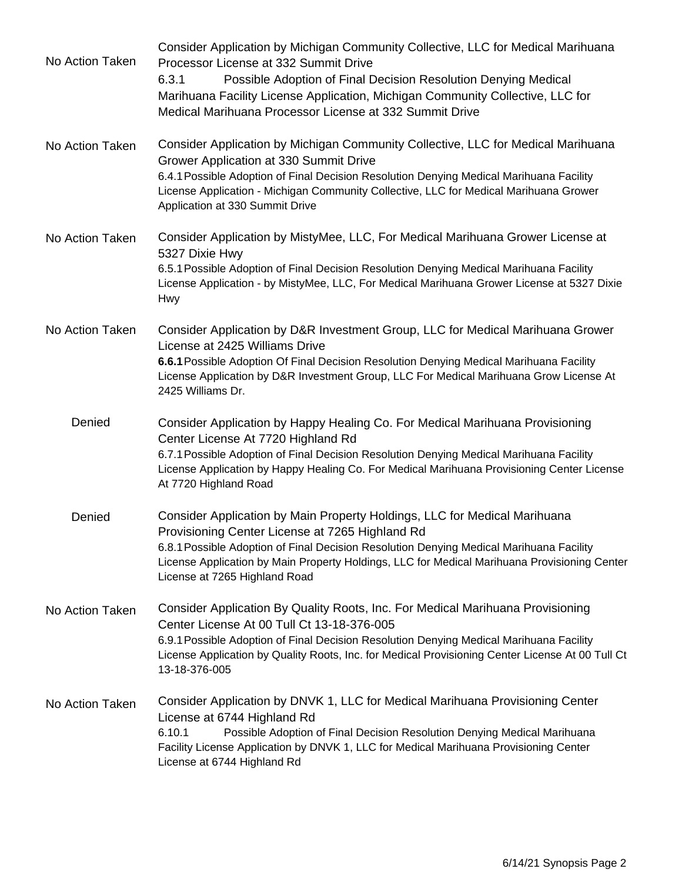| No Action Taken | Consider Application by Michigan Community Collective, LLC for Medical Marihuana<br>Processor License at 332 Summit Drive<br>Possible Adoption of Final Decision Resolution Denying Medical<br>6.3.1<br>Marihuana Facility License Application, Michigan Community Collective, LLC for<br>Medical Marihuana Processor License at 332 Summit Drive        |
|-----------------|----------------------------------------------------------------------------------------------------------------------------------------------------------------------------------------------------------------------------------------------------------------------------------------------------------------------------------------------------------|
| No Action Taken | Consider Application by Michigan Community Collective, LLC for Medical Marihuana<br>Grower Application at 330 Summit Drive<br>6.4.1 Possible Adoption of Final Decision Resolution Denying Medical Marihuana Facility<br>License Application - Michigan Community Collective, LLC for Medical Marihuana Grower<br>Application at 330 Summit Drive        |
| No Action Taken | Consider Application by MistyMee, LLC, For Medical Marihuana Grower License at<br>5327 Dixie Hwy<br>6.5.1 Possible Adoption of Final Decision Resolution Denying Medical Marihuana Facility<br>License Application - by MistyMee, LLC, For Medical Marihuana Grower License at 5327 Dixie<br><b>Hwy</b>                                                  |
| No Action Taken | Consider Application by D&R Investment Group, LLC for Medical Marihuana Grower<br>License at 2425 Williams Drive<br>6.6.1 Possible Adoption Of Final Decision Resolution Denying Medical Marihuana Facility<br>License Application by D&R Investment Group, LLC For Medical Marihuana Grow License At<br>2425 Williams Dr.                               |
| Denied          | Consider Application by Happy Healing Co. For Medical Marihuana Provisioning<br>Center License At 7720 Highland Rd<br>6.7.1 Possible Adoption of Final Decision Resolution Denying Medical Marihuana Facility<br>License Application by Happy Healing Co. For Medical Marihuana Provisioning Center License<br>At 7720 Highland Road                     |
| Denied          | Consider Application by Main Property Holdings, LLC for Medical Marihuana<br>Provisioning Center License at 7265 Highland Rd<br>6.8.1 Possible Adoption of Final Decision Resolution Denying Medical Marihuana Facility<br>License Application by Main Property Holdings, LLC for Medical Marihuana Provisioning Center<br>License at 7265 Highland Road |
| No Action Taken | Consider Application By Quality Roots, Inc. For Medical Marihuana Provisioning<br>Center License At 00 Tull Ct 13-18-376-005<br>6.9.1 Possible Adoption of Final Decision Resolution Denying Medical Marihuana Facility<br>License Application by Quality Roots, Inc. for Medical Provisioning Center License At 00 Tull Ct<br>13-18-376-005             |
| No Action Taken | Consider Application by DNVK 1, LLC for Medical Marihuana Provisioning Center<br>License at 6744 Highland Rd<br>Possible Adoption of Final Decision Resolution Denying Medical Marihuana<br>6.10.1<br>Facility License Application by DNVK 1, LLC for Medical Marihuana Provisioning Center<br>License at 6744 Highland Rd                               |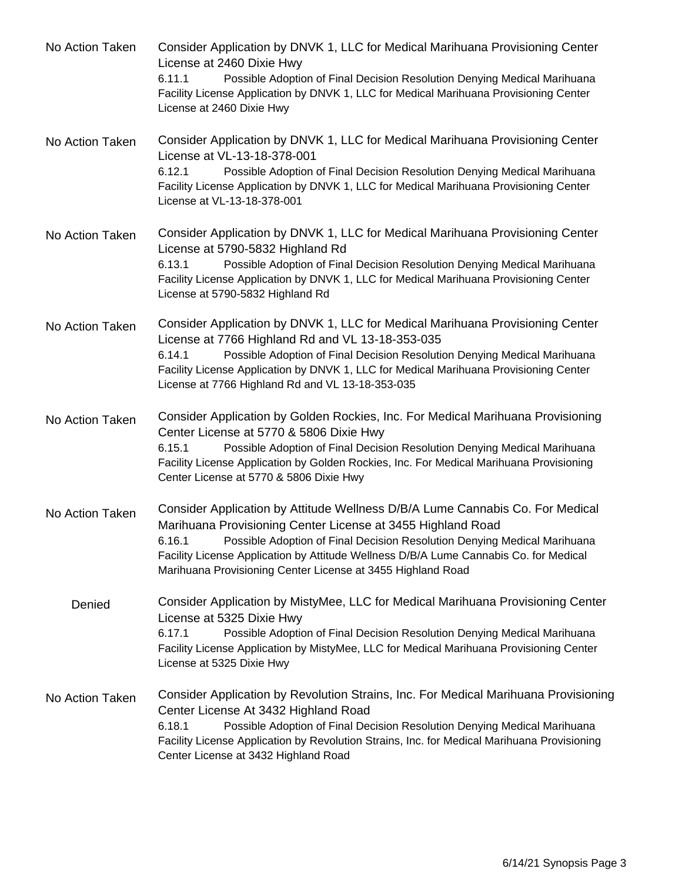| No Action Taken | Consider Application by DNVK 1, LLC for Medical Marihuana Provisioning Center<br>License at 2460 Dixie Hwy<br>Possible Adoption of Final Decision Resolution Denying Medical Marihuana<br>6.11.1<br>Facility License Application by DNVK 1, LLC for Medical Marihuana Provisioning Center<br>License at 2460 Dixie Hwy                                                                     |
|-----------------|--------------------------------------------------------------------------------------------------------------------------------------------------------------------------------------------------------------------------------------------------------------------------------------------------------------------------------------------------------------------------------------------|
| No Action Taken | Consider Application by DNVK 1, LLC for Medical Marihuana Provisioning Center<br>License at VL-13-18-378-001<br>Possible Adoption of Final Decision Resolution Denying Medical Marihuana<br>6.12.1<br>Facility License Application by DNVK 1, LLC for Medical Marihuana Provisioning Center<br>License at VL-13-18-378-001                                                                 |
| No Action Taken | Consider Application by DNVK 1, LLC for Medical Marihuana Provisioning Center<br>License at 5790-5832 Highland Rd<br>Possible Adoption of Final Decision Resolution Denying Medical Marihuana<br>6.13.1<br>Facility License Application by DNVK 1, LLC for Medical Marihuana Provisioning Center<br>License at 5790-5832 Highland Rd                                                       |
| No Action Taken | Consider Application by DNVK 1, LLC for Medical Marihuana Provisioning Center<br>License at 7766 Highland Rd and VL 13-18-353-035<br>Possible Adoption of Final Decision Resolution Denying Medical Marihuana<br>6.14.1<br>Facility License Application by DNVK 1, LLC for Medical Marihuana Provisioning Center<br>License at 7766 Highland Rd and VL 13-18-353-035                       |
| No Action Taken | Consider Application by Golden Rockies, Inc. For Medical Marihuana Provisioning<br>Center License at 5770 & 5806 Dixie Hwy<br>Possible Adoption of Final Decision Resolution Denying Medical Marihuana<br>6.15.1<br>Facility License Application by Golden Rockies, Inc. For Medical Marihuana Provisioning<br>Center License at 5770 & 5806 Dixie Hwy                                     |
| No Action Taken | Consider Application by Attitude Wellness D/B/A Lume Cannabis Co. For Medical<br>Marihuana Provisioning Center License at 3455 Highland Road<br>Possible Adoption of Final Decision Resolution Denying Medical Marihuana<br>6.16.1<br>Facility License Application by Attitude Wellness D/B/A Lume Cannabis Co. for Medical<br>Marihuana Provisioning Center License at 3455 Highland Road |
| Denied          | Consider Application by MistyMee, LLC for Medical Marihuana Provisioning Center<br>License at 5325 Dixie Hwy<br>6.17.1<br>Possible Adoption of Final Decision Resolution Denying Medical Marihuana<br>Facility License Application by MistyMee, LLC for Medical Marihuana Provisioning Center<br>License at 5325 Dixie Hwy                                                                 |
| No Action Taken | Consider Application by Revolution Strains, Inc. For Medical Marihuana Provisioning<br>Center License At 3432 Highland Road<br>Possible Adoption of Final Decision Resolution Denying Medical Marihuana<br>6.18.1<br>Facility License Application by Revolution Strains, Inc. for Medical Marihuana Provisioning<br>Center License at 3432 Highland Road                                   |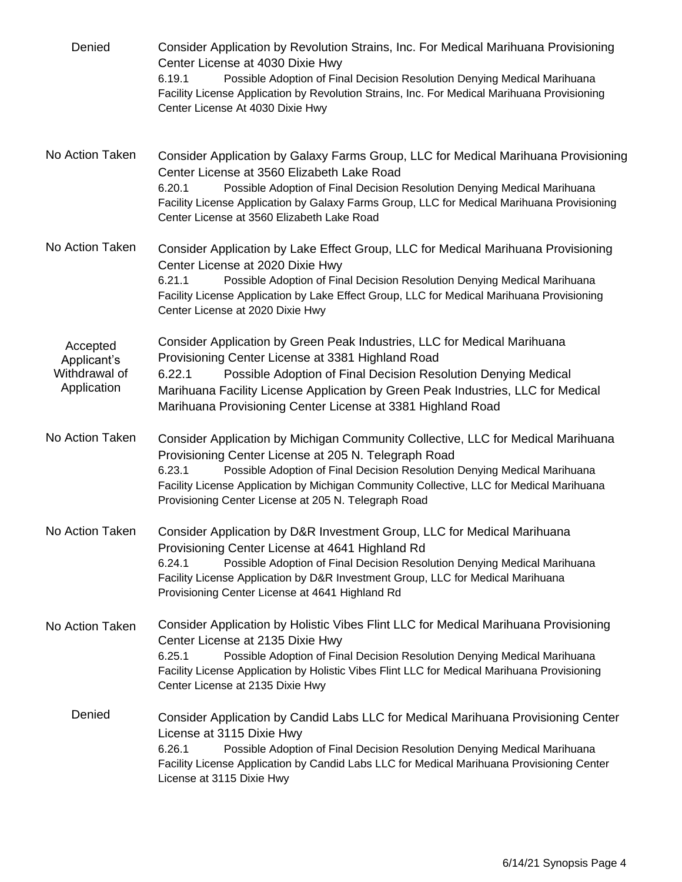| Denied                                                  | Consider Application by Revolution Strains, Inc. For Medical Marihuana Provisioning<br>Center License at 4030 Dixie Hwy<br>Possible Adoption of Final Decision Resolution Denying Medical Marihuana<br>6.19.1<br>Facility License Application by Revolution Strains, Inc. For Medical Marihuana Provisioning<br>Center License At 4030 Dixie Hwy                                   |
|---------------------------------------------------------|------------------------------------------------------------------------------------------------------------------------------------------------------------------------------------------------------------------------------------------------------------------------------------------------------------------------------------------------------------------------------------|
| No Action Taken                                         | Consider Application by Galaxy Farms Group, LLC for Medical Marihuana Provisioning<br>Center License at 3560 Elizabeth Lake Road<br>Possible Adoption of Final Decision Resolution Denying Medical Marihuana<br>6.20.1<br>Facility License Application by Galaxy Farms Group, LLC for Medical Marihuana Provisioning<br>Center License at 3560 Elizabeth Lake Road                 |
| No Action Taken                                         | Consider Application by Lake Effect Group, LLC for Medical Marihuana Provisioning<br>Center License at 2020 Dixie Hwy<br>6.21.1<br>Possible Adoption of Final Decision Resolution Denying Medical Marihuana<br>Facility License Application by Lake Effect Group, LLC for Medical Marihuana Provisioning<br>Center License at 2020 Dixie Hwy                                       |
| Accepted<br>Applicant's<br>Withdrawal of<br>Application | Consider Application by Green Peak Industries, LLC for Medical Marihuana<br>Provisioning Center License at 3381 Highland Road<br>6.22.1<br>Possible Adoption of Final Decision Resolution Denying Medical<br>Marihuana Facility License Application by Green Peak Industries, LLC for Medical<br>Marihuana Provisioning Center License at 3381 Highland Road                       |
| No Action Taken                                         | Consider Application by Michigan Community Collective, LLC for Medical Marihuana<br>Provisioning Center License at 205 N. Telegraph Road<br>Possible Adoption of Final Decision Resolution Denying Medical Marihuana<br>6.23.1<br>Facility License Application by Michigan Community Collective, LLC for Medical Marihuana<br>Provisioning Center License at 205 N. Telegraph Road |
| No Action Taken                                         | Consider Application by D&R Investment Group, LLC for Medical Marihuana<br>Provisioning Center License at 4641 Highland Rd<br>6.24.1<br>Possible Adoption of Final Decision Resolution Denying Medical Marihuana<br>Facility License Application by D&R Investment Group, LLC for Medical Marihuana<br>Provisioning Center License at 4641 Highland Rd                             |
| No Action Taken                                         | Consider Application by Holistic Vibes Flint LLC for Medical Marihuana Provisioning<br>Center License at 2135 Dixie Hwy<br>6.25.1<br>Possible Adoption of Final Decision Resolution Denying Medical Marihuana<br>Facility License Application by Holistic Vibes Flint LLC for Medical Marihuana Provisioning<br>Center License at 2135 Dixie Hwy                                   |
| Denied                                                  | Consider Application by Candid Labs LLC for Medical Marihuana Provisioning Center<br>License at 3115 Dixie Hwy<br>6.26.1<br>Possible Adoption of Final Decision Resolution Denying Medical Marihuana<br>Facility License Application by Candid Labs LLC for Medical Marihuana Provisioning Center<br>License at 3115 Dixie Hwy                                                     |